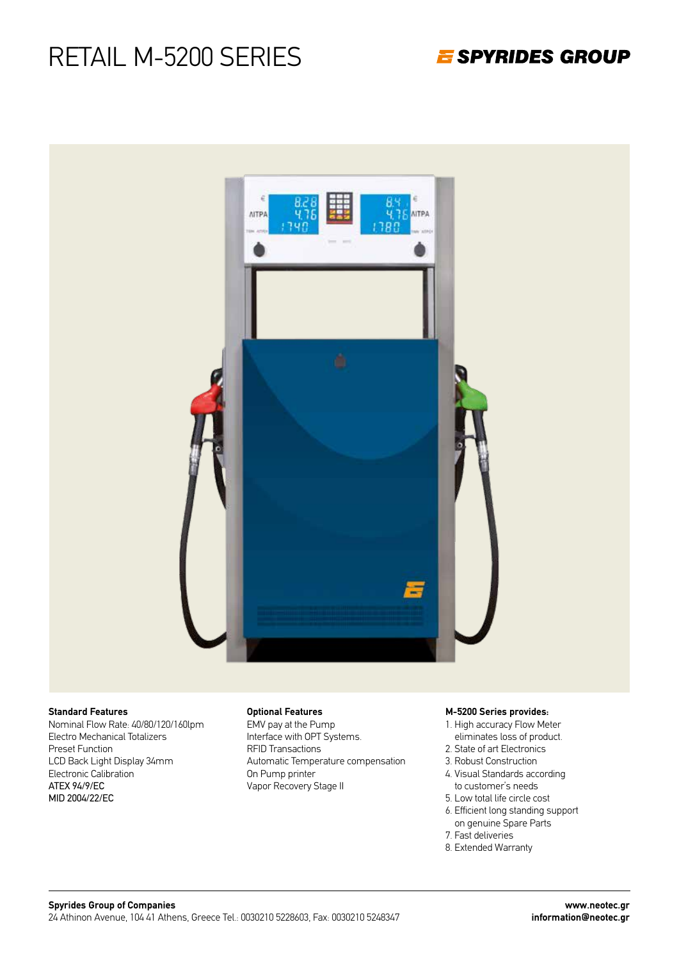E SPYRIDES GROUP



#### **Standard Features**

Nominal Flow Rate: 40/80/120/160lpm Electro Mechanical Totalizers Preset Function LCD Back Light Display 34mm Electronic Calibration ATEX 94/9/EC MID 2004/22/EC

#### **Optional Features**

EMV pay at the Pump Interface with OPT Systems. RFID Transactions Automatic Temperature compensation On Pump printer Vapor Recovery Stage II

#### **M-5200 Series provides:**

- 1. High accuracy Flow Meter eliminates loss of product.
- 2. State of art Electronics
- 3. Robust Construction
- 4. Visual Standards according to customer's needs
- 5. Low total life circle cost
- 6. Efficient long standing support on genuine Spare Parts
- 7. Fast deliveries
- 8. Extended Warranty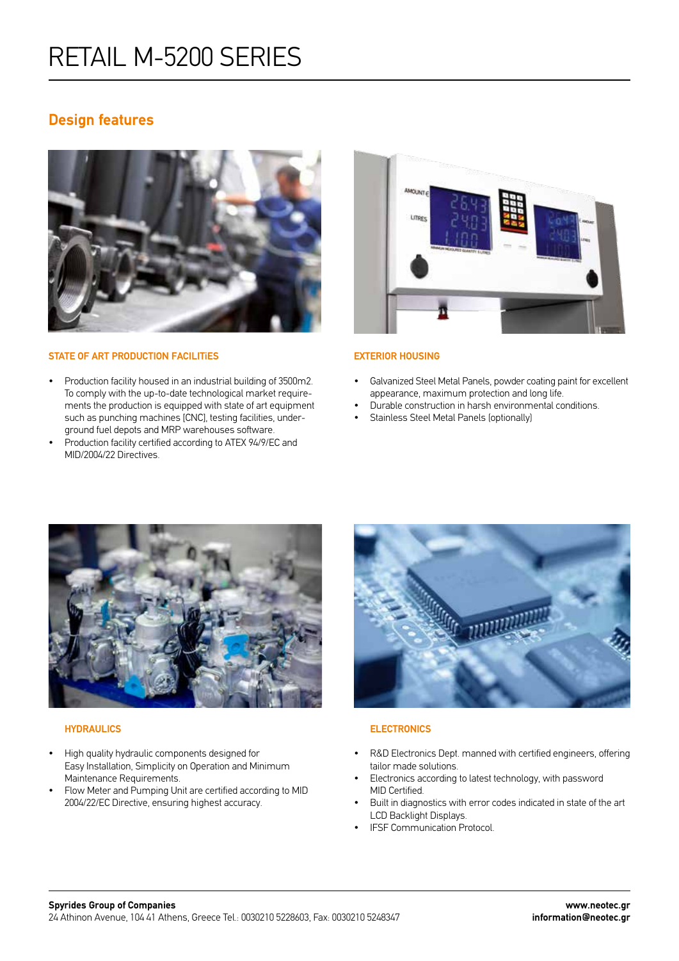### **Design features**



#### **STATE OF ART PRODUCTION FACILITiES**

- Production facility housed in an industrial building of 3500m2. To comply with the up-to-date technological market requirements the production is equipped with state of art equipment such as punching machines [CNC], testing facilities, underground fuel depots and MRP warehouses software.
- Production facility certified according to ATEX 94/9/EC and MID/2004/22 Directives.



#### **EXTERIOR HOUSING**

- Galvanized Steel Metal Panels, powder coating paint for excellent appearance, maximum protection and long life.
- Durable construction in harsh environmental conditions.
- Stainless Steel Metal Panels (optionally)



#### **HYDRAULICS**

- High quality hydraulic components designed for Easy Installation, Simplicity on Operation and Minimum Maintenance Requirements.
- Flow Meter and Pumping Unit are certified according to MID 2004/22/EC Directive, ensuring highest accuracy.



#### **ELECTRONICS**

- R&D Electronics Dept. manned with certified engineers, offering tailor made solutions.
- Electronics according to latest technology, with password MID Certified.
- Built in diagnostics with error codes indicated in state of the art LCD Backlight Displays.
- IFSF Communication Protocol.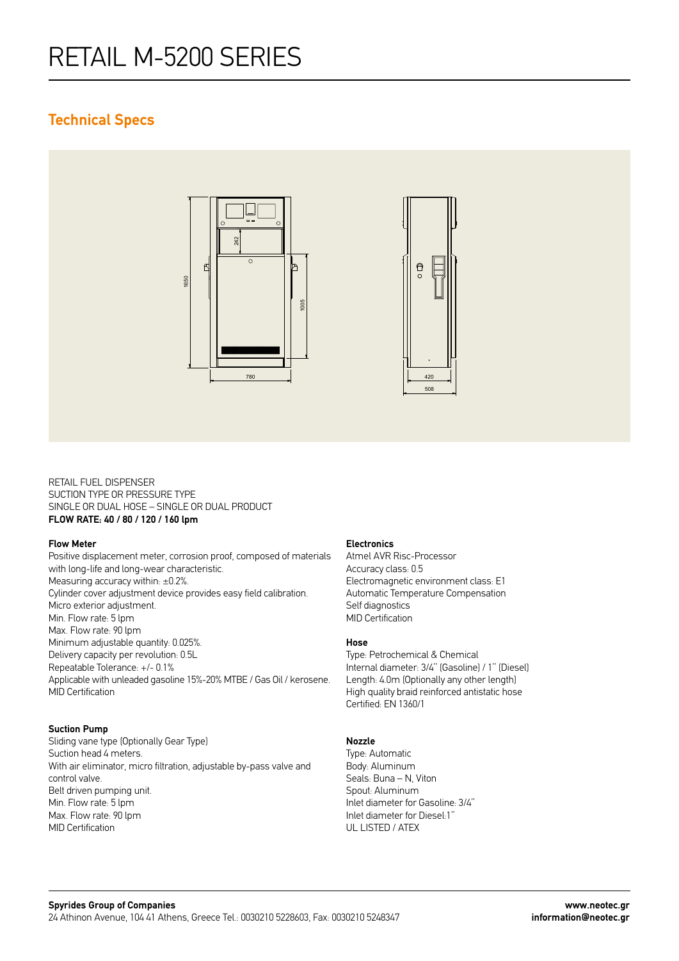### **Technical Specs**



RETAIL FUEL DISPENSER SUCTION TYPE OR PRESSURE TYPE SINGLE OR DUAL HOSE – SINGLE OR DUAL PRODUCT **FLOW RATE: 40 / 80 / 120 / 160 lpm**

#### **Flow Meter**

Positive displacement meter, corrosion proof, composed of materials with long-life and long-wear characteristic. Measuring accuracy within: ±0.2%. Cylinder cover adjustment device provides easy field calibration. Micro exterior adjustment. Min. Flow rate: 5 lpm Max. Flow rate: 90 lpm Minimum adjustable quantity: 0.025%. Delivery capacity per revolution: 0.5L Repeatable Tolerance: +/- 0.1% Applicable with unleaded gasoline 15%-20% MTBE / Gas Oil / kerosene. MID Certification

#### **Suction Pump**

Sliding vane type (Optionally Gear Type) Suction head 4 meters. With air eliminator, micro filtration, adjustable by-pass valve and control valve. Belt driven pumping unit. Min. Flow rate: 5 lpm Max. Flow rate: 90 lpm MID Certification

#### **Electronics**

Atmel AVR Risc-Processor Accuracy class: 0.5 Electromagnetic environment class: E1 Automatic Temperature Compensation Self diagnostics MID Certification

### **Hose**

Type: Petrochemical & Chemical Internal diameter: 3/4'' (Gasoline) / 1'' (Diesel) Length: 4.0m (Optionally any other length) High quality braid reinforced antistatic hose Certified: EN 1360/1

#### **Nozzle**

Type: Automatic Body: Aluminum Seals: Buna – N, Viton Spout: Aluminum Inlet diameter for Gasoline: 3/4'' Inlet diameter for Diesel:1'' UL LISTED / ATEX